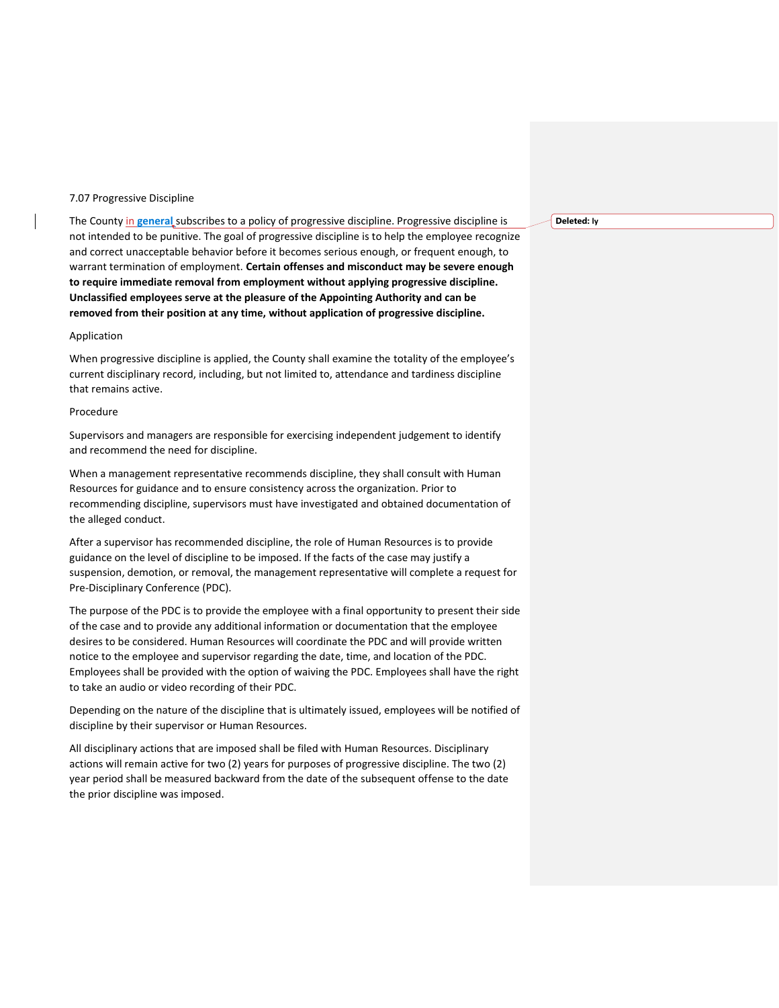### 7.07 Progressive Discipline

The County in **general** subscribes to a policy of progressive discipline. Progressive discipline is not intended to be punitive. The goal of progressive discipline is to help the employee recognize and correct unacceptable behavior before it becomes serious enough, or frequent enough, to warrant termination of employment. **Certain offenses and misconduct may be severe enough to require immediate removal from employment without applying progressive discipline. Unclassified employees serve at the pleasure of the Appointing Authority and can be removed from their position at any time, without application of progressive discipline.**

# Application

When progressive discipline is applied, the County shall examine the totality of the employee's current disciplinary record, including, but not limited to, attendance and tardiness discipline that remains active.

## Procedure

Supervisors and managers are responsible for exercising independent judgement to identify and recommend the need for discipline.

When a management representative recommends discipline, they shall consult with Human Resources for guidance and to ensure consistency across the organization. Prior to recommending discipline, supervisors must have investigated and obtained documentation of the alleged conduct.

After a supervisor has recommended discipline, the role of Human Resources is to provide guidance on the level of discipline to be imposed. If the facts of the case may justify a suspension, demotion, or removal, the management representative will complete a request for Pre-Disciplinary Conference (PDC).

The purpose of the PDC is to provide the employee with a final opportunity to present their side of the case and to provide any additional information or documentation that the employee desires to be considered. Human Resources will coordinate the PDC and will provide written notice to the employee and supervisor regarding the date, time, and location of the PDC. Employees shall be provided with the option of waiving the PDC. Employees shall have the right to take an audio or video recording of their PDC.

Depending on the nature of the discipline that is ultimately issued, employees will be notified of discipline by their supervisor or Human Resources.

All disciplinary actions that are imposed shall be filed with Human Resources. Disciplinary actions will remain active for two (2) years for purposes of progressive discipline. The two (2) year period shall be measured backward from the date of the subsequent offense to the date the prior discipline was imposed.

#### **Deleted: ly**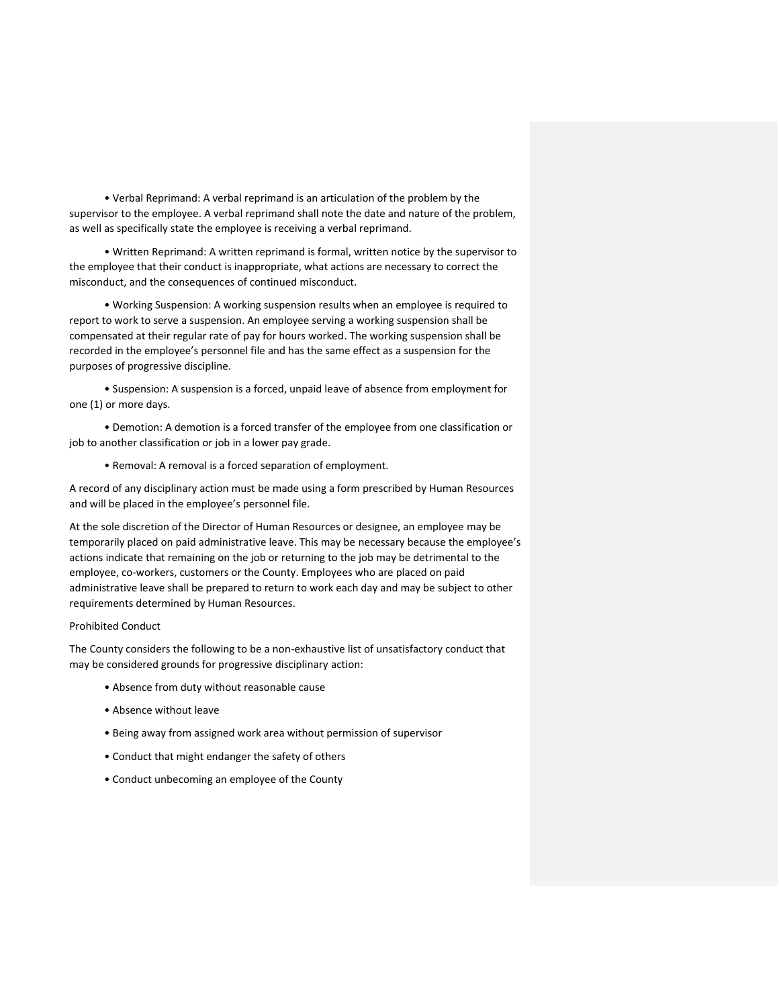• Verbal Reprimand: A verbal reprimand is an articulation of the problem by the supervisor to the employee. A verbal reprimand shall note the date and nature of the problem, as well as specifically state the employee is receiving a verbal reprimand.

• Written Reprimand: A written reprimand is formal, written notice by the supervisor to the employee that their conduct is inappropriate, what actions are necessary to correct the misconduct, and the consequences of continued misconduct.

• Working Suspension: A working suspension results when an employee is required to report to work to serve a suspension. An employee serving a working suspension shall be compensated at their regular rate of pay for hours worked. The working suspension shall be recorded in the employee's personnel file and has the same effect as a suspension for the purposes of progressive discipline.

• Suspension: A suspension is a forced, unpaid leave of absence from employment for one (1) or more days.

• Demotion: A demotion is a forced transfer of the employee from one classification or job to another classification or job in a lower pay grade.

• Removal: A removal is a forced separation of employment.

A record of any disciplinary action must be made using a form prescribed by Human Resources and will be placed in the employee's personnel file.

At the sole discretion of the Director of Human Resources or designee, an employee may be temporarily placed on paid administrative leave. This may be necessary because the employee's actions indicate that remaining on the job or returning to the job may be detrimental to the employee, co-workers, customers or the County. Employees who are placed on paid administrative leave shall be prepared to return to work each day and may be subject to other requirements determined by Human Resources.

# Prohibited Conduct

The County considers the following to be a non-exhaustive list of unsatisfactory conduct that may be considered grounds for progressive disciplinary action:

- Absence from duty without reasonable cause
- Absence without leave
- Being away from assigned work area without permission of supervisor
- Conduct that might endanger the safety of others
- Conduct unbecoming an employee of the County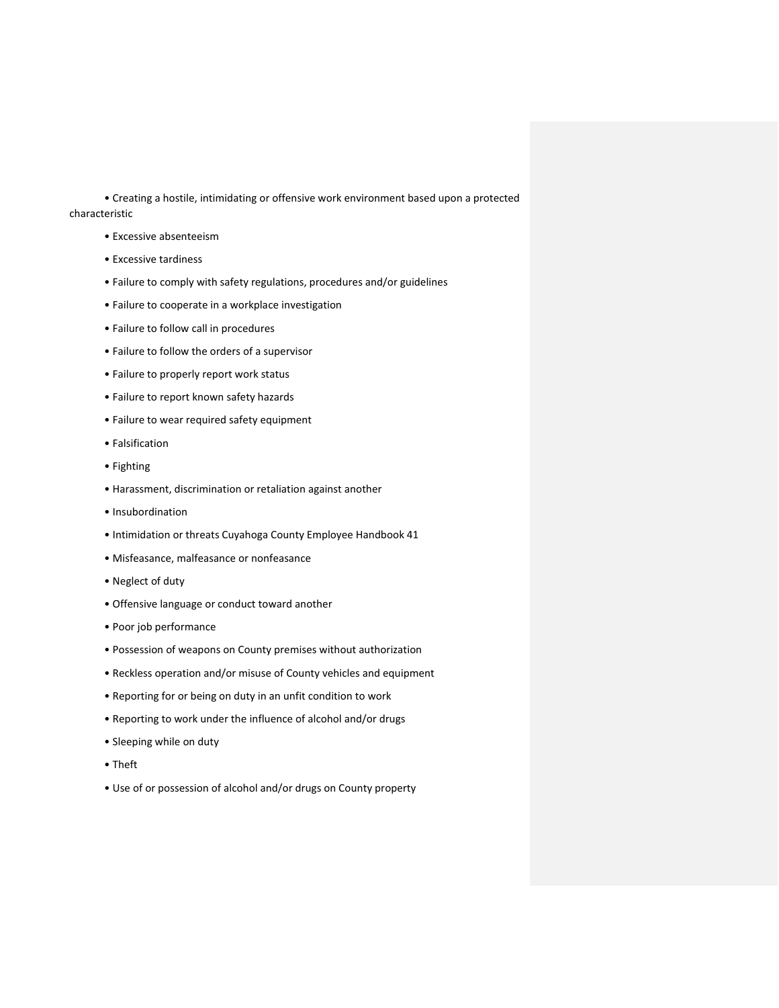• Creating a hostile, intimidating or offensive work environment based upon a protected characteristic

- Excessive absenteeism
- Excessive tardiness
- Failure to comply with safety regulations, procedures and/or guidelines
- Failure to cooperate in a workplace investigation
- Failure to follow call in procedures
- Failure to follow the orders of a supervisor
- Failure to properly report work status
- Failure to report known safety hazards
- Failure to wear required safety equipment
- Falsification
- Fighting
- Harassment, discrimination or retaliation against another
- Insubordination
- Intimidation or threats Cuyahoga County Employee Handbook 41
- Misfeasance, malfeasance or nonfeasance
- Neglect of duty
- Offensive language or conduct toward another
- Poor job performance
- Possession of weapons on County premises without authorization
- Reckless operation and/or misuse of County vehicles and equipment
- Reporting for or being on duty in an unfit condition to work
- Reporting to work under the influence of alcohol and/or drugs
- Sleeping while on duty
- Theft
- Use of or possession of alcohol and/or drugs on County property